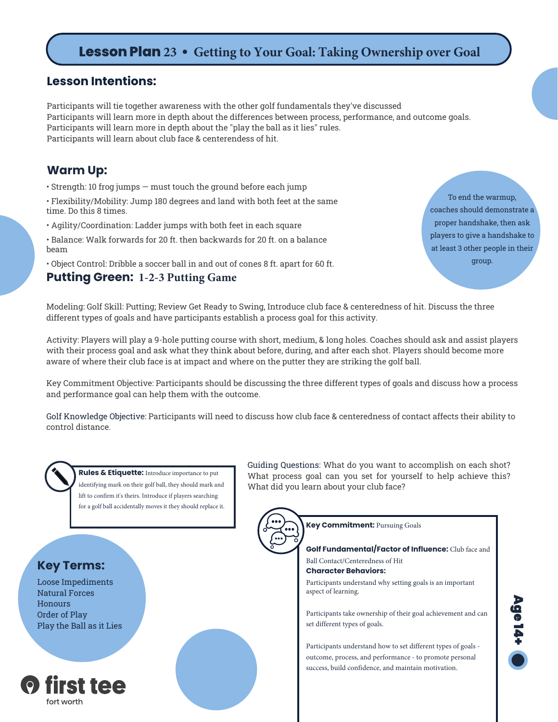# **Lesson Plan 23 • Getting to Your Goal: Taking Ownership over Goal**

#### **Lesson Intentions:**

Participants will tie together awareness with the other golf fundamentals they've discussed Participants will learn more in depth about the differences between process, performance, and outcome goals. Participants will learn more in depth about the "play the ball as it lies" rules. Participants will learn about club face & centerendess of hit.

### **Warm Up:**

• Strength: 10 frog jumps — must touch the ground before each jump

• Flexibility/Mobility: Jump 180 degrees and land with both feet at the same time. Do this 8 times.

• Agility/Coordination: Ladder jumps with both feet in each square

• Balance: Walk forwards for 20 ft. then backwards for 20 ft. on a balance beam

• Object Control: Dribble a soccer ball in and out of cones 8 ft. apart for 60 ft.

#### **Putting Green: 1-2-3 Putting Game**

To end the warmup, coaches should demonstrate a proper handshake, then ask players to give a handshake to at least 3 other people in their group.

Modeling: Golf Skill: Putting; Review Get Ready to Swing, Introduce club face & centeredness of hit. Discuss the three different types of goals and have participants establish a process goal for this activity.

Activity: Players will play a 9-hole putting course with short, medium, & long holes. Coaches should ask and assist players with their process goal and ask what they think about before, during, and after each shot. Players should become more aware of where their club face is at impact and where on the putter they are striking the golf ball.

Key Commitment Objective: Participants should be discussing the three different types of goals and discuss how a process and performance goal can help them with the outcome.

Golf Knowledge Objective: Participants will need to discuss how club face & centeredness of contact affects their ability to control distance.



**Rules & Etiquette:** Introduce importance to put identifying mark on their golf ball, they should mark and lift to confirm it's theirs. Introduce if players searching for a golf ball accidentally moves it they should replace it.

### **Key Terms:**

Loose Impediments Natural Forces **Honours** Order of Play Play the Ball as it Lies



Guiding Questions: What do you want to accomplish on each shot? What process goal can you set for yourself to help achieve this? What did you learn about your club face?



**Key Commitment:** Pursuing Goals

**Golf Fundamental/Factor of Influence:** Club face and Ball Contact/Centeredness of Hit

**Character Behaviors:**

Participants understand why setting goals is an important aspect of learning.

Participants take ownership of their goal achievement and can set different types of goals.

Participants understand how to set different types of goals outcome, process, and performance - to promote personal success, build confidence, and maintain motivation.